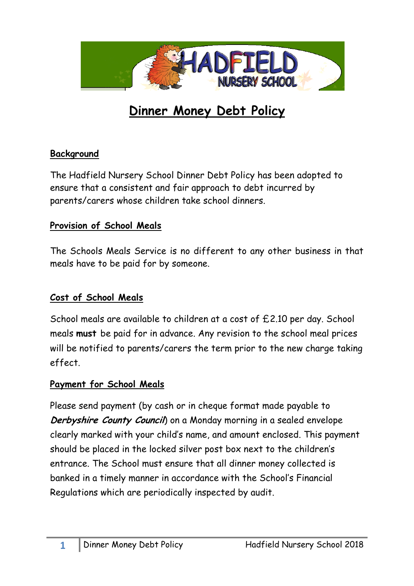

# **Dinner Money Debt Policy**

#### **Background**

The Hadfield Nursery School Dinner Debt Policy has been adopted to ensure that a consistent and fair approach to debt incurred by parents/carers whose children take school dinners.

## **Provision of School Meals**

The Schools Meals Service is no different to any other business in that meals have to be paid for by someone.

## **Cost of School Meals**

School meals are available to children at a cost of £2.10 per day. School meals **must** be paid for in advance. Any revision to the school meal prices will be notified to parents/carers the term prior to the new charge taking effect.

## **Payment for School Meals**

Please send payment (by cash or in cheque format made payable to **Derbyshire County Council**) on a Monday morning in a sealed envelope clearly marked with your child's name, and amount enclosed. This payment should be placed in the locked silver post box next to the children's entrance. The School must ensure that all dinner money collected is banked in a timely manner in accordance with the School's Financial Regulations which are periodically inspected by audit.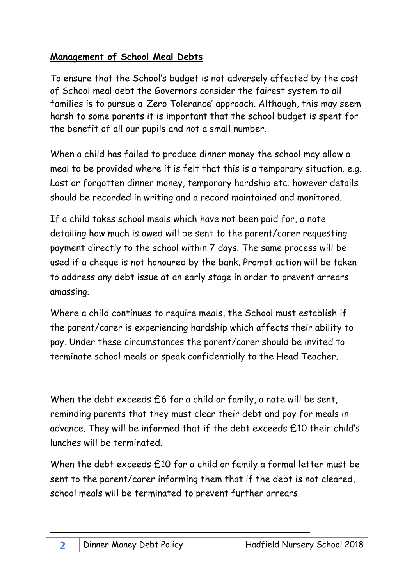## **Management of School Meal Debts**

To ensure that the School's budget is not adversely affected by the cost of School meal debt the Governors consider the fairest system to all families is to pursue a 'Zero Tolerance' approach. Although, this may seem harsh to some parents it is important that the school budget is spent for the benefit of all our pupils and not a small number.

When a child has failed to produce dinner money the school may allow a meal to be provided where it is felt that this is a temporary situation. e.g. Lost or forgotten dinner money, temporary hardship etc. however details should be recorded in writing and a record maintained and monitored.

If a child takes school meals which have not been paid for, a note detailing how much is owed will be sent to the parent/carer requesting payment directly to the school within 7 days. The same process will be used if a cheque is not honoured by the bank. Prompt action will be taken to address any debt issue at an early stage in order to prevent arrears amassing.

Where a child continues to require meals, the School must establish if the parent/carer is experiencing hardship which affects their ability to pay. Under these circumstances the parent/carer should be invited to terminate school meals or speak confidentially to the Head Teacher.

When the debt exceeds  $£6$  for a child or family, a note will be sent, reminding parents that they must clear their debt and pay for meals in advance. They will be informed that if the debt exceeds £10 their child's lunches will be terminated.

When the debt exceeds £10 for a child or family a formal letter must be sent to the parent/carer informing them that if the debt is not cleared, school meals will be terminated to prevent further arrears.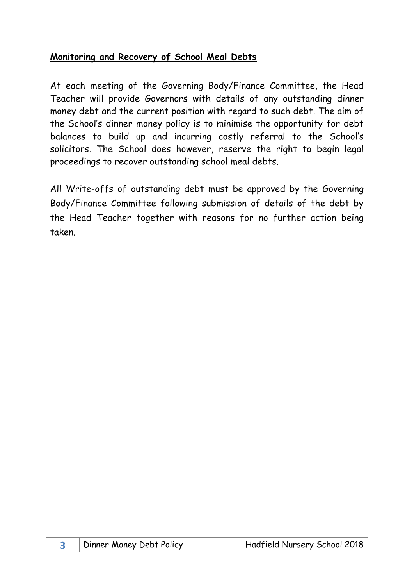## **Monitoring and Recovery of School Meal Debts**

At each meeting of the Governing Body/Finance Committee, the Head Teacher will provide Governors with details of any outstanding dinner money debt and the current position with regard to such debt. The aim of the School's dinner money policy is to minimise the opportunity for debt balances to build up and incurring costly referral to the School's solicitors. The School does however, reserve the right to begin legal proceedings to recover outstanding school meal debts.

All Write-offs of outstanding debt must be approved by the Governing Body/Finance Committee following submission of details of the debt by the Head Teacher together with reasons for no further action being taken.